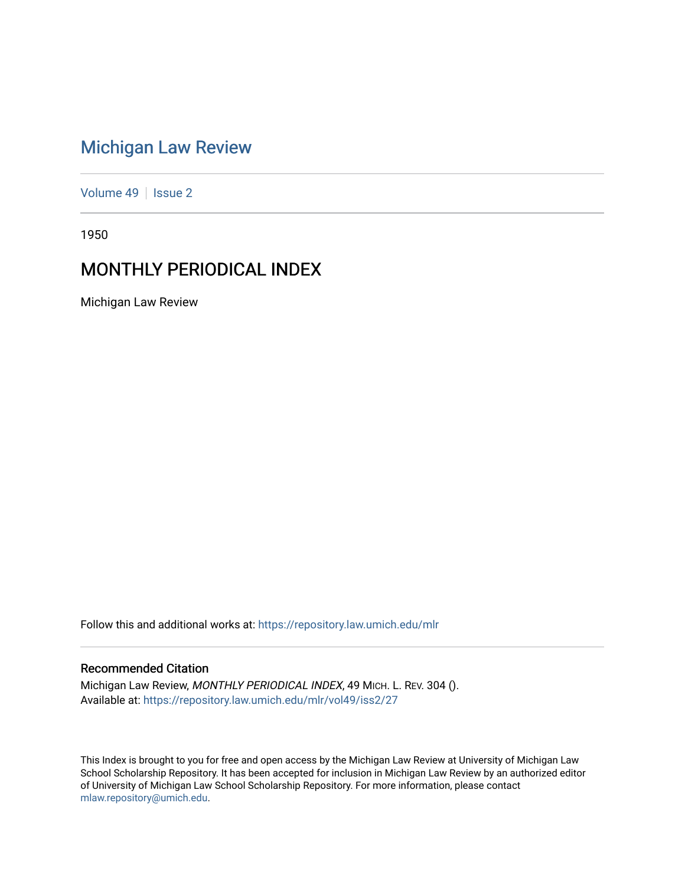# [Michigan Law Review](https://repository.law.umich.edu/mlr)

[Volume 49](https://repository.law.umich.edu/mlr/vol49) | [Issue 2](https://repository.law.umich.edu/mlr/vol49/iss2)

1950

# MONTHLY PERIODICAL INDEX

Michigan Law Review

Follow this and additional works at: [https://repository.law.umich.edu/mlr](https://repository.law.umich.edu/mlr?utm_source=repository.law.umich.edu%2Fmlr%2Fvol49%2Fiss2%2F27&utm_medium=PDF&utm_campaign=PDFCoverPages) 

# Recommended Citation

Michigan Law Review, MONTHLY PERIODICAL INDEX, 49 MICH. L. REV. 304 (). Available at: [https://repository.law.umich.edu/mlr/vol49/iss2/27](https://repository.law.umich.edu/mlr/vol49/iss2/27?utm_source=repository.law.umich.edu%2Fmlr%2Fvol49%2Fiss2%2F27&utm_medium=PDF&utm_campaign=PDFCoverPages) 

This Index is brought to you for free and open access by the Michigan Law Review at University of Michigan Law School Scholarship Repository. It has been accepted for inclusion in Michigan Law Review by an authorized editor of University of Michigan Law School Scholarship Repository. For more information, please contact [mlaw.repository@umich.edu.](mailto:mlaw.repository@umich.edu)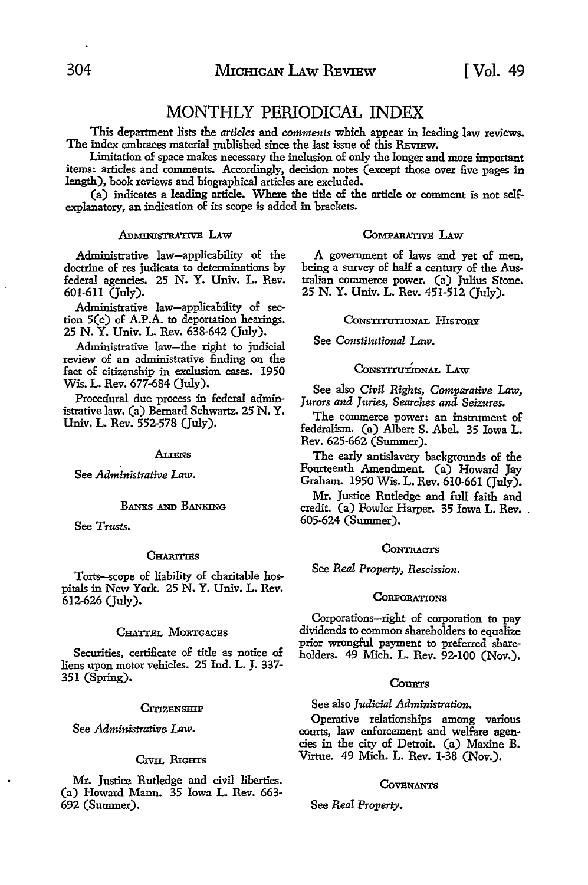# MONTHLY PERIODICAL INDEX

This department lists the *articles* and *comments* which appear in leading law reviews. The index embraces material published since the last issue of this REVIEW.

Limitation of space makes necessary the inclusion of only the longer and more important items: articles and comments. Accordingly, decision notes (except those over five pages in length), book reviews and biographical articles are excluded.

(a) indicates a leading article. Where the title of the article or comment is not selfexplanatory, an indication of its scope is added in brackets.

# ADMINISTRATIVE LAW

Administrative law-applicability of the doctrine of res judicata to determinations by federal agencies. 25 N. Y. Univ. L. Rev. 601-611 (July).

Administrative law-applicability of sec- tion 5(c) of A.P.A. to deportation hearings. 25 N. Y. Univ. L. Rev. 638-642 (July).

Administrative law-the right to judicial review of an administrative finding on the fact of citizenship in exclusion cases. 1950 Wis. L. Rev. 677-684 (July).

Procedural due process in federal administrative law. (a) Bernard Schwartz. 25 **N. Y.**  Univ. L. Rev. 552-578 (July).

#### Aliens

See *Administrative Law.* 

#### BANKS AND BANKING

See *Trusts.* 

#### **CHARITIES**

Torts-scope of liability of charitable hospitals in New York. 25 N. Y. Univ. L. Rev. 612-626 (July).

#### CHATTEL MORTGAGES

Securities, certificate of title as notice of liens upon motor vehicles. 25 Ind. L. J. 337- 351 (Spring).

#### CITIZENSHIP

See *Administrative Law.* 

# Crvn. RIGHTS

Mr. Justice Rutledge and civil liberties. (a) Howard Mann. 35 Iowa L. Rev. 663- 692 (Summer).

#### COMPARATIVE LAW

A government of laws and yet of men, being a survey of half a century of the Australian commerce power. (a) Julius Stone. 25 N. Y. Univ. L. Rev. 451-512 (July).

## CONSTITUTIONAL HISTORY

See *Constitutional Law.* 

# CONSTITUTIONAL LAW

See also *Civil Rights, Comparative Law, Jurors and Juries, Searches and Seizures.* 

The commerce power: an instrument of federalism. (a) Albert S. Abel. 35 Iowa L. Rev. 625-662 (Summer).

The early antislavery backgrounds of the Fourteenth Amendment. (a) Howard Jay Graham. 1950 Wis. L. Rev. 610-661 (July).

Mr. Justice Rutledge and full faith and credit. (a) Fowler Harper. 35 Iowa L. Rev. .<br>605-624 (Summer).

#### **CONTRACTS**

See *Real Property, Rescission.* 

#### **CORPORATIONS**

Corporations-right of corporation to pay dividends to common shareholders to equalize prior wrongful payment to preferred shareholders. 49 Mich. L. Rev. 92-100 (Nov.).

# COURTS

See also *Judicial Administration.* 

Operative relationships among various courts, law enforcement and welfare agen• cies in the city of Detroit. (a) Maxine B. Virtue. 49 Mich. L. Rev. 1-38 (Nov.).

#### **COVENANTS**

See *Real Property.*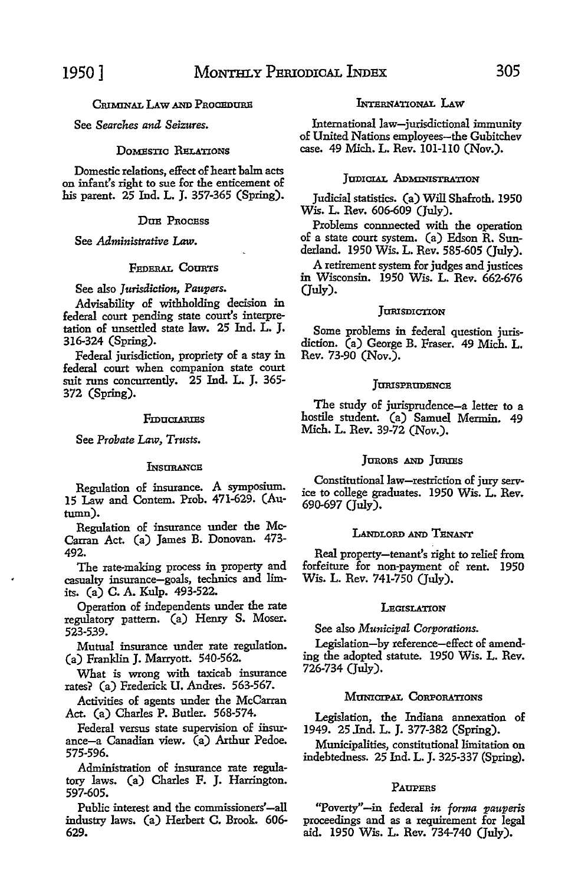# INTERNATIONAL LAW

International law-jurisdictional immunity of United Nations employees-the Gubitchev case. 49 Mich. L. Rev. 101-110 (Nov.).

# JUDICIAL ADMINISTRATION

Judicial statistics. (a) Will Shafroth. 1950 Wis. L. Rev. 606-609 (July).

Problems connnected with the operation of a state court system. (a) Edson R. Sunderland. 1950 Wis. L. Rev. 585-605 (July).

A retirement system for judges and justices in Wisconsin. 1950 Wis. L. Rev. 662-676 (July).

### **JURISDICTION**

Some problems in federal question jurisdiction. (a) George B. Fraser. 49 Mich. L. Rev. 73-90 (Nov.).

#### JURISPRUDENCE

The study of jurisprudence-a letter to a hostile student. (a) Samuel Mermin. 49 Mich. L. Rev. 39-72 (Nov.).

# JURORS AND JURIES

Constitutional law-restriction of jury service to college graduates. 1950 Wis. L. Rev. 690-697 (July).

#### LANDLORD AND TENANT

Real property-tenant's right to relief from forfeiture for non-payment of rent. 1950 Wis. L. Rev. 741-750 (July).

#### **LEGISLATION**

See also *Municipal Corporations.* 

Legislation-by reference-effect of amending the adopted statute. 1950 Wis. L. Rev. 726-734 (July).

# MUNICIPAL CoRPORATIONS

Legislation, the Indiana annexation of 1949. 25 Jnd. L. J. 377-382 (Spring).

Municipalities, constitutional limitation on indebtedness. 25 Ind. L. J. 325-337 (Spring).

#### PAUPERS

"Poverty"-in federal *in forma pauperis* proceedings and as a requirement for legal aid. 1950 Wis. L. Rev. 734-740 (July).

# CRIMINAT, LAW AND PROCEDITES

See *Searches and Seizures.* 

# DOMESTIC RELATIONS

Domestic relations, effect of heart balm acts on infant's right to sue for the enticement of his parent. 25 Ind. L. J. 357-365 (Spring).

#### DUE PROCESS

See *Administrative* Law.

# FEDERAL COURTS

See also *Jurisdiction, Paupers.* 

Advisability of withholding decision in federal court pending state court's interpretation of unsettled state law. 25 Ind. L. J. 316-324 (Spring).

Federal jurisdiction, propriety of a stay in federal court when companion state court suit runs concurrently. 25 Ind. L. J. 365- 372 (Spring).

#### FIDUCIARIES

See *Probate* Law, *Trusts.* 

#### **INSURANCE**

Regulation of insurance. A symposium. 15 Law and Contem. Prob. 471-629. (Autumn),

Regulation of insurance under the Mc-Carran Act. (a) James B. Donovan. 473- 492.

The rate-making process in property and casualty insurance-goals, technics and limits, (a) C. A. Kulp. 493-522.

Operation of independents under the rate regulatory pattern. (a) Henry S. Moser. 523-539.

Mutual insurance under rate regulation. (a) Franklin J. Marryott. 540-562.

What is wrong with taxicab insurance rates? (a) Frederick U. Andres. 563-567.

Activities of agents under the McCarran Act. (a) Charles P. Butler. 568-574.

Federal versus state supervision of insurance-a Canadian view. (a) Arthur Pedoe. 575-596.

Administration of insurance rate regulatory laws. (a) Charles F. J. Harrington. 597-605.

Public interest and the commissioners'-all industry laws. (a) Herbert C. Brook. 606- 629.